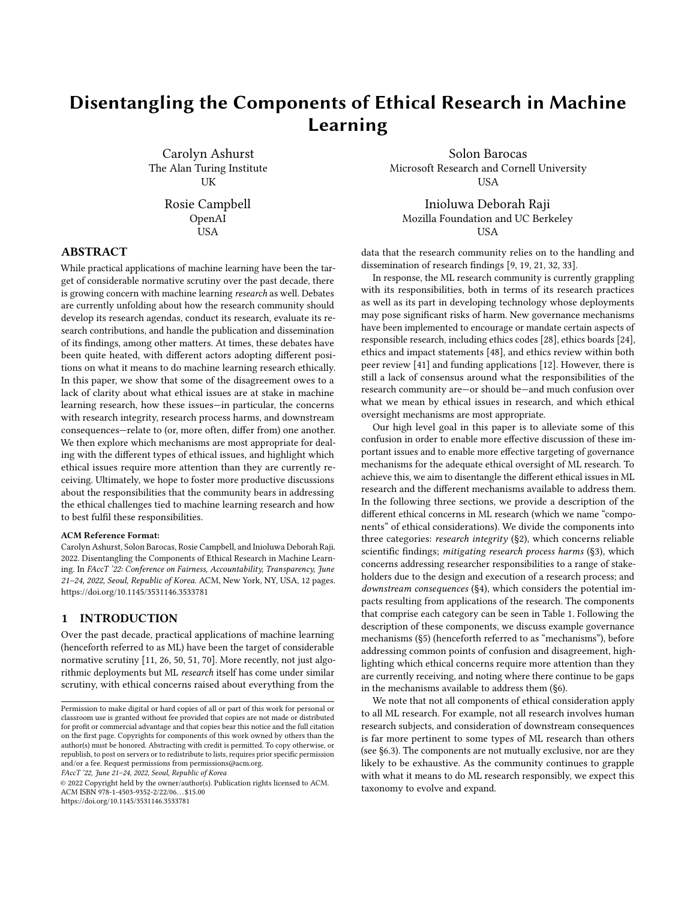# Disentangling the Components of Ethical Research in Machine Learning

Carolyn Ashurst The Alan Turing Institute UK

> Rosie Campbell OpenAI USA

ABSTRACT

While practical applications of machine learning have been the target of considerable normative scrutiny over the past decade, there is growing concern with machine learning research as well. Debates are currently unfolding about how the research community should develop its research agendas, conduct its research, evaluate its research contributions, and handle the publication and dissemination of its findings, among other matters. At times, these debates have been quite heated, with different actors adopting different positions on what it means to do machine learning research ethically. In this paper, we show that some of the disagreement owes to a lack of clarity about what ethical issues are at stake in machine learning research, how these issues—in particular, the concerns with research integrity, research process harms, and downstream consequences—relate to (or, more often, differ from) one another. We then explore which mechanisms are most appropriate for dealing with the different types of ethical issues, and highlight which ethical issues require more attention than they are currently receiving. Ultimately, we hope to foster more productive discussions about the responsibilities that the community bears in addressing the ethical challenges tied to machine learning research and how to best fulfil these responsibilities.

#### ACM Reference Format:

Carolyn Ashurst, Solon Barocas, Rosie Campbell, and Inioluwa Deborah Raji. 2022. Disentangling the Components of Ethical Research in Machine Learning. In FAccT '22: Conference on Fairness, Accountability, Transparency, June 21–24, 2022, Seoul, Republic of Korea. ACM, New York, NY, USA, [12](#page-11-0) pages. <https://doi.org/10.1145/3531146.3533781>

# 1 INTRODUCTION

Over the past decade, practical applications of machine learning (henceforth referred to as ML) have been the target of considerable normative scrutiny [\[11,](#page-10-0) [26,](#page-10-1) [50,](#page-11-1) [51,](#page-11-2) [70\]](#page-11-3). More recently, not just algorithmic deployments but ML research itself has come under similar scrutiny, with ethical concerns raised about everything from the

FAccT '22, June 21–24, 2022, Seoul, Republic of Korea

© 2022 Copyright held by the owner/author(s). Publication rights licensed to ACM. ACM ISBN 978-1-4503-9352-2/22/06. . . \$15.00 <https://doi.org/10.1145/3531146.3533781>

Solon Barocas Microsoft Research and Cornell University USA

Inioluwa Deborah Raji Mozilla Foundation and UC Berkeley **USA** 

data that the research community relies on to the handling and dissemination of research findings [\[9,](#page-10-2) [19,](#page-10-3) [21,](#page-10-4) [32,](#page-10-5) [33\]](#page-10-6).

In response, the ML research community is currently grappling with its responsibilities, both in terms of its research practices as well as its part in developing technology whose deployments may pose significant risks of harm. New governance mechanisms have been implemented to encourage or mandate certain aspects of responsible research, including ethics codes [\[28\]](#page-10-7), ethics boards [\[24\]](#page-10-8), ethics and impact statements [\[48\]](#page-11-4), and ethics review within both peer review [\[41\]](#page-10-9) and funding applications [\[12\]](#page-10-10). However, there is still a lack of consensus around what the responsibilities of the research community are—or should be—and much confusion over what we mean by ethical issues in research, and which ethical oversight mechanisms are most appropriate.

Our high level goal in this paper is to alleviate some of this confusion in order to enable more effective discussion of these important issues and to enable more effective targeting of governance mechanisms for the adequate ethical oversight of ML research. To achieve this, we aim to disentangle the different ethical issues in ML research and the different mechanisms available to address them. In the following three sections, we provide a description of the different ethical concerns in ML research (which we name "components" of ethical considerations). We divide the components into three categories: *research integrity*  $(S2)$ , which concerns reliable scientific findings; mitigating research process harms ([§3\)](#page-3-0), which concerns addressing researcher responsibilities to a range of stakeholders due to the design and execution of a research process; and downstream consequences ([§4\)](#page-5-0), which considers the potential impacts resulting from applications of the research. The components that comprise each category can be seen in Table [1.](#page-1-0) Following the description of these components, we discuss example governance mechanisms ([§5\)](#page-7-0) (henceforth referred to as "mechanisms"), before addressing common points of confusion and disagreement, highlighting which ethical concerns require more attention than they are currently receiving, and noting where there continue to be gaps in the mechanisms available to address them ([§6\)](#page-9-0).

We note that not all components of ethical consideration apply to all ML research. For example, not all research involves human research subjects, and consideration of downstream consequences is far more pertinent to some types of ML research than others (see [§6.3\)](#page-9-1). The components are not mutually exclusive, nor are they likely to be exhaustive. As the community continues to grapple with what it means to do ML research responsibly, we expect this taxonomy to evolve and expand.

Permission to make digital or hard copies of all or part of this work for personal or classroom use is granted without fee provided that copies are not made or distributed for profit or commercial advantage and that copies bear this notice and the full citation on the first page. Copyrights for components of this work owned by others than the author(s) must be honored. Abstracting with credit is permitted. To copy otherwise, or republish, to post on servers or to redistribute to lists, requires prior specific permission and/or a fee. Request permissions from permissions@acm.org.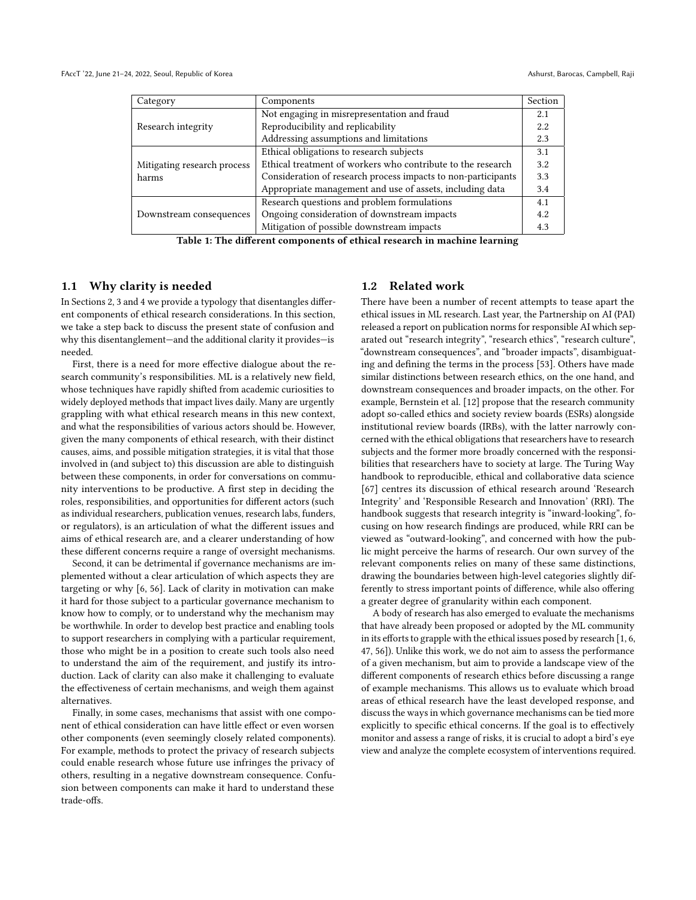<span id="page-1-0"></span>

| Category                    | Components                                                    | Section |
|-----------------------------|---------------------------------------------------------------|---------|
|                             | Not engaging in misrepresentation and fraud                   |         |
| Research integrity          | Reproducibility and replicability                             |         |
|                             | Addressing assumptions and limitations                        | 2.3     |
|                             | Ethical obligations to research subjects                      | 3.1     |
| Mitigating research process | Ethical treatment of workers who contribute to the research   | 3.2     |
| harms                       | Consideration of research process impacts to non-participants | 3.3     |
|                             | Appropriate management and use of assets, including data      | 3.4     |
|                             | Research questions and problem formulations                   | 4.1     |
| Downstream consequences     | Ongoing consideration of downstream impacts                   | 4.2     |
|                             | Mitigation of possible downstream impacts                     | 4.3     |

Table 1: The different components of ethical research in machine learning

### 1.1 Why clarity is needed

In Sections [2,](#page-2-0) [3](#page-3-0) and [4](#page-5-0) we provide a typology that disentangles different components of ethical research considerations. In this section, we take a step back to discuss the present state of confusion and why this disentanglement—and the additional clarity it provides—is needed.

First, there is a need for more effective dialogue about the research community's responsibilities. ML is a relatively new field, whose techniques have rapidly shifted from academic curiosities to widely deployed methods that impact lives daily. Many are urgently grappling with what ethical research means in this new context, and what the responsibilities of various actors should be. However, given the many components of ethical research, with their distinct causes, aims, and possible mitigation strategies, it is vital that those involved in (and subject to) this discussion are able to distinguish between these components, in order for conversations on community interventions to be productive. A first step in deciding the roles, responsibilities, and opportunities for different actors (such as individual researchers, publication venues, research labs, funders, or regulators), is an articulation of what the different issues and aims of ethical research are, and a clearer understanding of how these different concerns require a range of oversight mechanisms.

Second, it can be detrimental if governance mechanisms are implemented without a clear articulation of which aspects they are targeting or why [\[6,](#page-10-11) [56\]](#page-11-5). Lack of clarity in motivation can make it hard for those subject to a particular governance mechanism to know how to comply, or to understand why the mechanism may be worthwhile. In order to develop best practice and enabling tools to support researchers in complying with a particular requirement, those who might be in a position to create such tools also need to understand the aim of the requirement, and justify its introduction. Lack of clarity can also make it challenging to evaluate the effectiveness of certain mechanisms, and weigh them against alternatives.

Finally, in some cases, mechanisms that assist with one component of ethical consideration can have little effect or even worsen other components (even seemingly closely related components). For example, methods to protect the privacy of research subjects could enable research whose future use infringes the privacy of others, resulting in a negative downstream consequence. Confusion between components can make it hard to understand these trade-offs.

### 1.2 Related work

There have been a number of recent attempts to tease apart the ethical issues in ML research. Last year, the Partnership on AI (PAI) released a report on publication norms for responsible AI which separated out "research integrity", "research ethics", "research culture", "downstream consequences", and "broader impacts", disambiguating and defining the terms in the process [\[53\]](#page-11-6). Others have made similar distinctions between research ethics, on the one hand, and downstream consequences and broader impacts, on the other. For example, Bernstein et al. [\[12\]](#page-10-10) propose that the research community adopt so-called ethics and society review boards (ESRs) alongside institutional review boards (IRBs), with the latter narrowly concerned with the ethical obligations that researchers have to research subjects and the former more broadly concerned with the responsibilities that researchers have to society at large. The Turing Way handbook to reproducible, ethical and collaborative data science [\[67\]](#page-11-7) centres its discussion of ethical research around 'Research Integrity' and 'Responsible Research and Innovation' (RRI). The handbook suggests that research integrity is "inward-looking", focusing on how research findings are produced, while RRI can be viewed as "outward-looking", and concerned with how the public might perceive the harms of research. Our own survey of the relevant components relies on many of these same distinctions, drawing the boundaries between high-level categories slightly differently to stress important points of difference, while also offering a greater degree of granularity within each component.

A body of research has also emerged to evaluate the mechanisms that have already been proposed or adopted by the ML community in its efforts to grapple with the ethical issues posed by research [\[1,](#page-10-12) [6,](#page-10-11) [47,](#page-11-8) [56\]](#page-11-5)). Unlike this work, we do not aim to assess the performance of a given mechanism, but aim to provide a landscape view of the different components of research ethics before discussing a range of example mechanisms. This allows us to evaluate which broad areas of ethical research have the least developed response, and discuss the ways in which governance mechanisms can be tied more explicitly to specific ethical concerns. If the goal is to effectively monitor and assess a range of risks, it is crucial to adopt a bird's eye view and analyze the complete ecosystem of interventions required.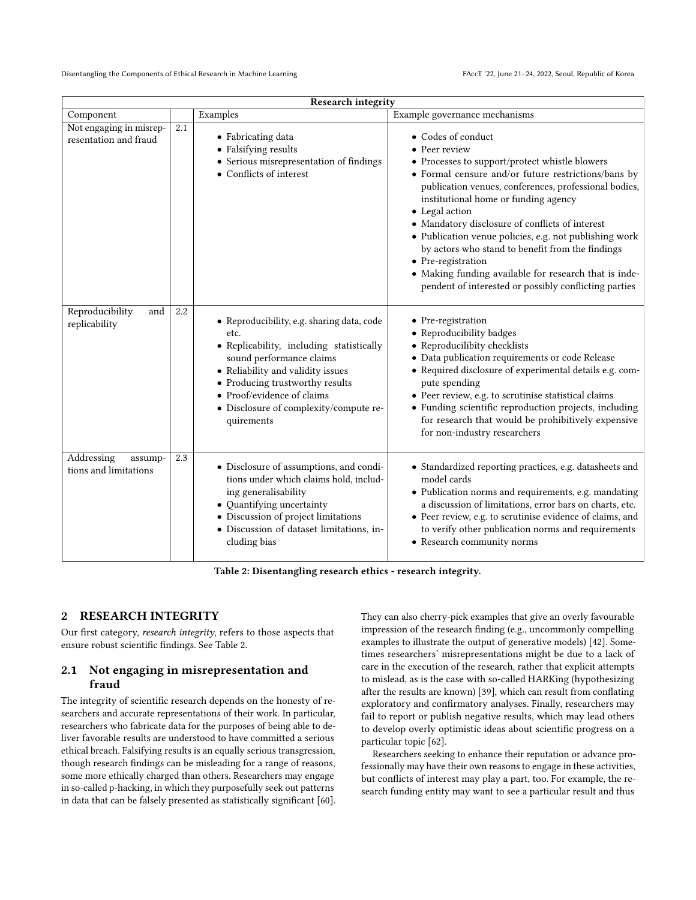<span id="page-2-2"></span>

| <b>Research integrity</b>                        |     |                                                                                                                                                                                                                                                                                          |                                                                                                                                                                                                                                                                                                                                                                                                                                                                                                                                                                                    |  |
|--------------------------------------------------|-----|------------------------------------------------------------------------------------------------------------------------------------------------------------------------------------------------------------------------------------------------------------------------------------------|------------------------------------------------------------------------------------------------------------------------------------------------------------------------------------------------------------------------------------------------------------------------------------------------------------------------------------------------------------------------------------------------------------------------------------------------------------------------------------------------------------------------------------------------------------------------------------|--|
| Component                                        |     | Examples                                                                                                                                                                                                                                                                                 | Example governance mechanisms                                                                                                                                                                                                                                                                                                                                                                                                                                                                                                                                                      |  |
| Not engaging in misrep-<br>resentation and fraud | 2.1 | • Fabricating data<br>• Falsifying results<br>• Serious misrepresentation of findings<br>• Conflicts of interest                                                                                                                                                                         | • Codes of conduct<br>• Peer review<br>• Processes to support/protect whistle blowers<br>• Formal censure and/or future restrictions/bans by<br>publication venues, conferences, professional bodies,<br>institutional home or funding agency<br>• Legal action<br>$\bullet\,$ Mandatory disclosure of conflicts of interest<br>· Publication venue policies, e.g. not publishing work<br>by actors who stand to benefit from the findings<br>• Pre-registration<br>• Making funding available for research that is inde-<br>pendent of interested or possibly conflicting parties |  |
| Reproducibility<br>and<br>replicability          | 2.2 | • Reproducibility, e.g. sharing data, code<br>etc.<br>• Replicability, including statistically<br>sound performance claims<br>• Reliability and validity issues<br>• Producing trustworthy results<br>• Proof/evidence of claims<br>· Disclosure of complexity/compute re-<br>quirements | • Pre-registration<br>• Reproducibility badges<br>• Reproducilibity checklists<br>• Data publication requirements or code Release<br>• Required disclosure of experimental details e.g. com-<br>pute spending<br>· Peer review, e.g. to scrutinise statistical claims<br>• Funding scientific reproduction projects, including<br>for research that would be prohibitively expensive<br>for non-industry researchers                                                                                                                                                               |  |
| Addressing<br>assump-<br>tions and limitations   | 2.3 | • Disclosure of assumptions, and condi-<br>tions under which claims hold, includ-<br>ing generalisability<br>• Quantifying uncertainty<br>• Discussion of project limitations<br>· Discussion of dataset limitations, in-<br>cluding bias                                                | • Standardized reporting practices, e.g. datasheets and<br>model cards<br>• Publication norms and requirements, e.g. mandating<br>a discussion of limitations, error bars on charts, etc.<br>• Peer review, e.g. to scrutinise evidence of claims, and<br>to verify other publication norms and requirements<br>• Research community norms                                                                                                                                                                                                                                         |  |

Table 2: Disentangling research ethics - research integrity.

# <span id="page-2-0"></span>2 RESEARCH INTEGRITY

Our first category, research integrity, refers to those aspects that ensure robust scientific findings. See Table [2.](#page-2-2)

# <span id="page-2-1"></span>2.1 Not engaging in misrepresentation and fraud

The integrity of scientific research depends on the honesty of researchers and accurate representations of their work. In particular, researchers who fabricate data for the purposes of being able to deliver favorable results are understood to have committed a serious ethical breach. Falsifying results is an equally serious transgression, though research findings can be misleading for a range of reasons, some more ethically charged than others. Researchers may engage in so-called p-hacking, in which they purposefully seek out patterns in data that can be falsely presented as statistically significant [\[60\]](#page-11-9).

They can also cherry-pick examples that give an overly favourable impression of the research finding (e.g., uncommonly compelling examples to illustrate the output of generative models) [\[42\]](#page-10-13). Sometimes researchers' misrepresentations might be due to a lack of care in the execution of the research, rather that explicit attempts to mislead, as is the case with so-called HARKing (hypothesizing after the results are known) [\[39\]](#page-10-14), which can result from conflating exploratory and confirmatory analyses. Finally, researchers may fail to report or publish negative results, which may lead others to develop overly optimistic ideas about scientific progress on a particular topic [\[62\]](#page-11-10).

Researchers seeking to enhance their reputation or advance professionally may have their own reasons to engage in these activities, but conflicts of interest may play a part, too. For example, the research funding entity may want to see a particular result and thus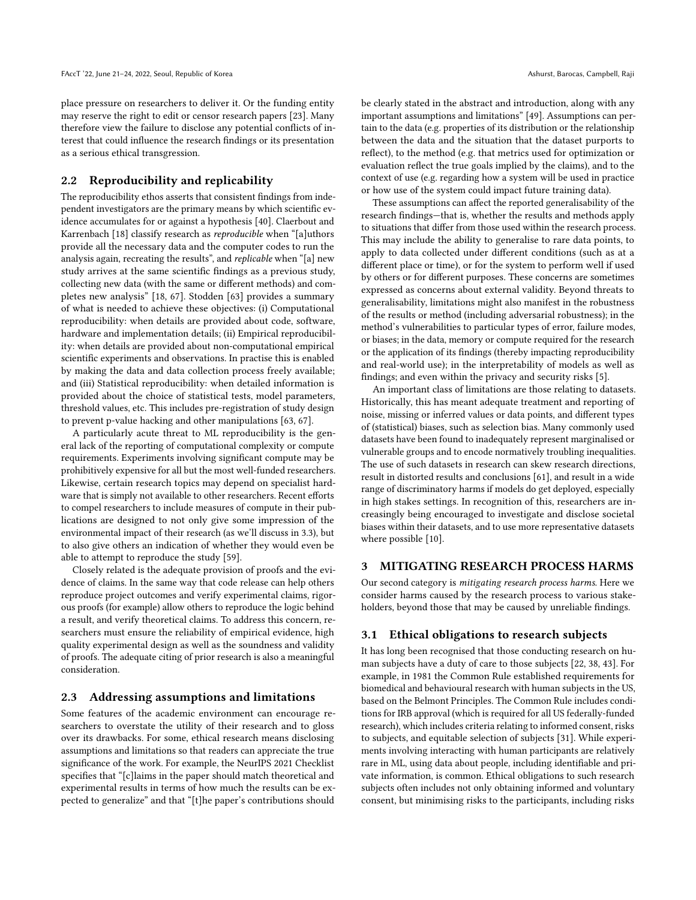place pressure on researchers to deliver it. Or the funding entity may reserve the right to edit or censor research papers [\[23\]](#page-10-15). Many therefore view the failure to disclose any potential conflicts of interest that could influence the research findings or its presentation as a serious ethical transgression.

## <span id="page-3-1"></span>2.2 Reproducibility and replicability

The reproducibility ethos asserts that consistent findings from independent investigators are the primary means by which scientific evidence accumulates for or against a hypothesis [\[40\]](#page-10-16). Claerbout and Karrenbach [\[18\]](#page-10-17) classify research as reproducible when "[a]uthors provide all the necessary data and the computer codes to run the analysis again, recreating the results", and replicable when "[a] new study arrives at the same scientific findings as a previous study, collecting new data (with the same or different methods) and completes new analysis" [\[18,](#page-10-17) [67\]](#page-11-7). Stodden [\[63\]](#page-11-11) provides a summary of what is needed to achieve these objectives: (i) Computational reproducibility: when details are provided about code, software, hardware and implementation details; (ii) Empirical reproducibility: when details are provided about non-computational empirical scientific experiments and observations. In practise this is enabled by making the data and data collection process freely available; and (iii) Statistical reproducibility: when detailed information is provided about the choice of statistical tests, model parameters, threshold values, etc. This includes pre-registration of study design to prevent p-value hacking and other manipulations [\[63,](#page-11-11) [67\]](#page-11-7).

A particularly acute threat to ML reproducibility is the general lack of the reporting of computational complexity or compute requirements. Experiments involving significant compute may be prohibitively expensive for all but the most well-funded researchers. Likewise, certain research topics may depend on specialist hardware that is simply not available to other researchers. Recent efforts to compel researchers to include measures of compute in their publications are designed to not only give some impression of the environmental impact of their research (as we'll discuss in [3.3\)](#page-5-2), but to also give others an indication of whether they would even be able to attempt to reproduce the study [\[59\]](#page-11-12).

Closely related is the adequate provision of proofs and the evidence of claims. In the same way that code release can help others reproduce project outcomes and verify experimental claims, rigorous proofs (for example) allow others to reproduce the logic behind a result, and verify theoretical claims. To address this concern, researchers must ensure the reliability of empirical evidence, high quality experimental design as well as the soundness and validity of proofs. The adequate citing of prior research is also a meaningful consideration.

#### <span id="page-3-2"></span>2.3 Addressing assumptions and limitations

Some features of the academic environment can encourage researchers to overstate the utility of their research and to gloss over its drawbacks. For some, ethical research means disclosing assumptions and limitations so that readers can appreciate the true significance of the work. For example, the NeurIPS 2021 Checklist specifies that "[c]laims in the paper should match theoretical and experimental results in terms of how much the results can be expected to generalize" and that "[t]he paper's contributions should

be clearly stated in the abstract and introduction, along with any important assumptions and limitations" [\[49\]](#page-11-13). Assumptions can pertain to the data (e.g. properties of its distribution or the relationship between the data and the situation that the dataset purports to reflect), to the method (e.g. that metrics used for optimization or evaluation reflect the true goals implied by the claims), and to the context of use (e.g. regarding how a system will be used in practice or how use of the system could impact future training data).

These assumptions can affect the reported generalisability of the research findings—that is, whether the results and methods apply to situations that differ from those used within the research process. This may include the ability to generalise to rare data points, to apply to data collected under different conditions (such as at a different place or time), or for the system to perform well if used by others or for different purposes. These concerns are sometimes expressed as concerns about external validity. Beyond threats to generalisability, limitations might also manifest in the robustness of the results or method (including adversarial robustness); in the method's vulnerabilities to particular types of error, failure modes, or biases; in the data, memory or compute required for the research or the application of its findings (thereby impacting reproducibility and real-world use); in the interpretability of models as well as findings; and even within the privacy and security risks [\[5\]](#page-10-18).

An important class of limitations are those relating to datasets. Historically, this has meant adequate treatment and reporting of noise, missing or inferred values or data points, and different types of (statistical) biases, such as selection bias. Many commonly used datasets have been found to inadequately represent marginalised or vulnerable groups and to encode normatively troubling inequalities. The use of such datasets in research can skew research directions, result in distorted results and conclusions [\[61\]](#page-11-14), and result in a wide range of discriminatory harms if models do get deployed, especially in high stakes settings. In recognition of this, researchers are increasingly being encouraged to investigate and disclose societal biases within their datasets, and to use more representative datasets where possible [\[10\]](#page-10-19).

#### <span id="page-3-0"></span>3 MITIGATING RESEARCH PROCESS HARMS

Our second category is mitigating research process harms. Here we consider harms caused by the research process to various stakeholders, beyond those that may be caused by unreliable findings.

### <span id="page-3-3"></span>3.1 Ethical obligations to research subjects

It has long been recognised that those conducting research on human subjects have a duty of care to those subjects [\[22,](#page-10-20) [38,](#page-10-21) [43\]](#page-10-22). For example, in 1981 the Common Rule established requirements for biomedical and behavioural research with human subjects in the US, based on the Belmont Principles. The Common Rule includes conditions for IRB approval (which is required for all US federally-funded research), which includes criteria relating to informed consent, risks to subjects, and equitable selection of subjects [\[31\]](#page-10-23). While experiments involving interacting with human participants are relatively rare in ML, using data about people, including identifiable and private information, is common. Ethical obligations to such research subjects often includes not only obtaining informed and voluntary consent, but minimising risks to the participants, including risks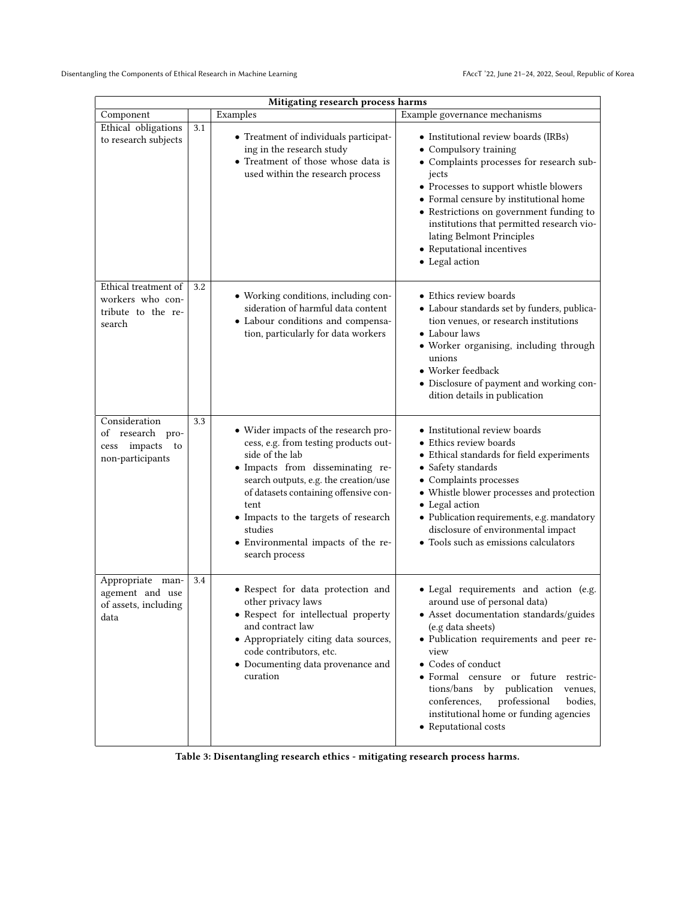<span id="page-4-0"></span>

| Mitigating research process harms                                           |     |                                                                                                                                                                                                                                                                                                                                           |                                                                                                                                                                                                                                                                                                                                                                                                           |  |  |
|-----------------------------------------------------------------------------|-----|-------------------------------------------------------------------------------------------------------------------------------------------------------------------------------------------------------------------------------------------------------------------------------------------------------------------------------------------|-----------------------------------------------------------------------------------------------------------------------------------------------------------------------------------------------------------------------------------------------------------------------------------------------------------------------------------------------------------------------------------------------------------|--|--|
| Component                                                                   |     | Examples                                                                                                                                                                                                                                                                                                                                  | Example governance mechanisms                                                                                                                                                                                                                                                                                                                                                                             |  |  |
| Ethical obligations<br>to research subjects                                 | 3.1 | • Treatment of individuals participat-<br>ing in the research study<br>• Treatment of those whose data is<br>used within the research process                                                                                                                                                                                             | • Institutional review boards (IRBs)<br>• Compulsory training<br>• Complaints processes for research sub-<br>jects<br>• Processes to support whistle blowers<br>• Formal censure by institutional home<br>• Restrictions on government funding to<br>institutions that permitted research vio-<br>lating Belmont Principles<br>• Reputational incentives<br>• Legal action                                |  |  |
| Ethical treatment of<br>workers who con-<br>tribute to the re-<br>search    | 3.2 | • Working conditions, including con-<br>sideration of harmful data content<br>• Labour conditions and compensa-<br>tion, particularly for data workers                                                                                                                                                                                    | • Ethics review boards<br>• Labour standards set by funders, publica-<br>tion venues, or research institutions<br>• Labour laws<br>· Worker organising, including through<br>unions<br>• Worker feedback<br>• Disclosure of payment and working con-<br>dition details in publication                                                                                                                     |  |  |
| Consideration<br>of research pro-<br>impacts to<br>cess<br>non-participants | 3.3 | • Wider impacts of the research pro-<br>cess, e.g. from testing products out-<br>side of the lab<br>· Impacts from disseminating re-<br>search outputs, e.g. the creation/use<br>of datasets containing offensive con-<br>tent<br>• Impacts to the targets of research<br>studies<br>• Environmental impacts of the re-<br>search process | • Institutional review boards<br>• Ethics review boards<br>• Ethical standards for field experiments<br>• Safety standards<br>• Complaints processes<br>• Whistle blower processes and protection<br>• Legal action<br>· Publication requirements, e.g. mandatory<br>disclosure of environmental impact<br>• Tools such as emissions calculators                                                          |  |  |
| Appropriate man-<br>agement and use<br>of assets, including<br>data         | 3.4 | • Respect for data protection and<br>other privacy laws<br>• Respect for intellectual property<br>and contract law<br>• Appropriately citing data sources,<br>code contributors, etc.<br>• Documenting data provenance and<br>curation                                                                                                    | · Legal requirements and action (e.g.<br>around use of personal data)<br>• Asset documentation standards/guides<br>(e.g data sheets)<br>· Publication requirements and peer re-<br>view<br>• Codes of conduct<br>· Formal censure or future restric-<br>tions/bans by publication<br>venues,<br>conferences,<br>professional<br>bodies,<br>institutional home or funding agencies<br>• Reputational costs |  |  |

Table 3: Disentangling research ethics - mitigating research process harms.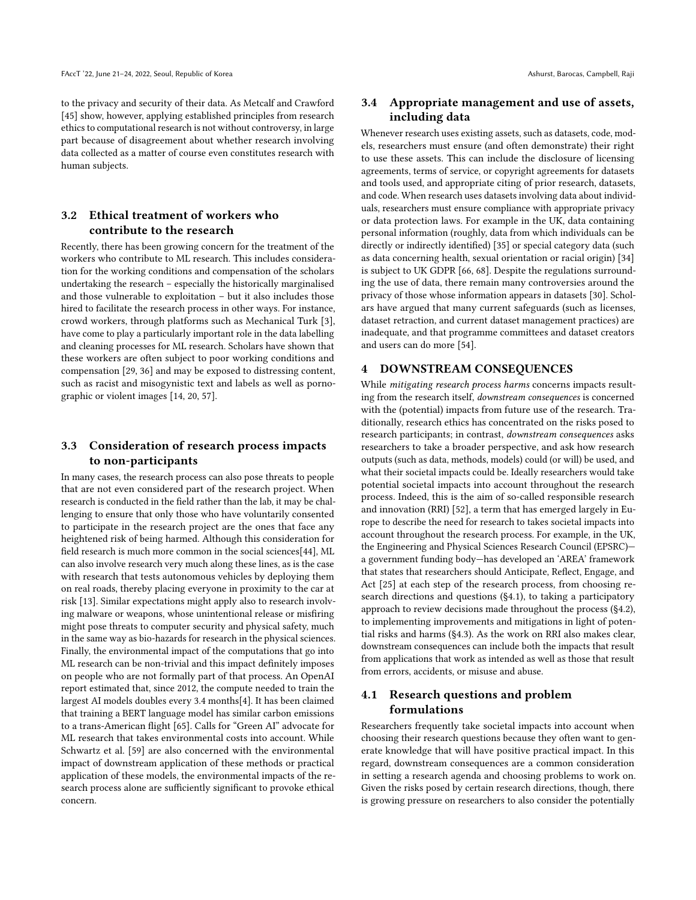to the privacy and security of their data. As Metcalf and Crawford [\[45\]](#page-10-24) show, however, applying established principles from research ethics to computational research is not without controversy, in large part because of disagreement about whether research involving data collected as a matter of course even constitutes research with human subjects.

# <span id="page-5-1"></span>3.2 Ethical treatment of workers who contribute to the research

Recently, there has been growing concern for the treatment of the workers who contribute to ML research. This includes consideration for the working conditions and compensation of the scholars undertaking the research – especially the historically marginalised and those vulnerable to exploitation – but it also includes those hired to facilitate the research process in other ways. For instance, crowd workers, through platforms such as Mechanical Turk [\[3\]](#page-10-25), have come to play a particularly important role in the data labelling and cleaning processes for ML research. Scholars have shown that these workers are often subject to poor working conditions and compensation [\[29,](#page-10-26) [36\]](#page-10-27) and may be exposed to distressing content, such as racist and misogynistic text and labels as well as pornographic or violent images [\[14,](#page-10-28) [20,](#page-10-29) [57\]](#page-11-15).

# <span id="page-5-2"></span>3.3 Consideration of research process impacts to non-participants

In many cases, the research process can also pose threats to people that are not even considered part of the research project. When research is conducted in the field rather than the lab, it may be challenging to ensure that only those who have voluntarily consented to participate in the research project are the ones that face any heightened risk of being harmed. Although this consideration for field research is much more common in the social sciences[\[44\]](#page-10-30), ML can also involve research very much along these lines, as is the case with research that tests autonomous vehicles by deploying them on real roads, thereby placing everyone in proximity to the car at risk [\[13\]](#page-10-31). Similar expectations might apply also to research involving malware or weapons, whose unintentional release or misfiring might pose threats to computer security and physical safety, much in the same way as bio-hazards for research in the physical sciences. Finally, the environmental impact of the computations that go into ML research can be non-trivial and this impact definitely imposes on people who are not formally part of that process. An OpenAI report estimated that, since 2012, the compute needed to train the largest AI models doubles every 3.4 months[\[4\]](#page-10-32). It has been claimed that training a BERT language model has similar carbon emissions to a trans-American flight [\[65\]](#page-11-16). Calls for "Green AI" advocate for ML research that takes environmental costs into account. While Schwartz et al. [\[59\]](#page-11-12) are also concerned with the environmental impact of downstream application of these methods or practical application of these models, the environmental impacts of the research process alone are sufficiently significant to provoke ethical concern.

# <span id="page-5-3"></span>3.4 Appropriate management and use of assets, including data

Whenever research uses existing assets, such as datasets, code, models, researchers must ensure (and often demonstrate) their right to use these assets. This can include the disclosure of licensing agreements, terms of service, or copyright agreements for datasets and tools used, and appropriate citing of prior research, datasets, and code. When research uses datasets involving data about individuals, researchers must ensure compliance with appropriate privacy or data protection laws. For example in the UK, data containing personal information (roughly, data from which individuals can be directly or indirectly identified) [\[35\]](#page-10-33) or special category data (such as data concerning health, sexual orientation or racial origin) [\[34\]](#page-10-34) is subject to UK GDPR [\[66,](#page-11-17) [68\]](#page-11-18). Despite the regulations surrounding the use of data, there remain many controversies around the privacy of those whose information appears in datasets [\[30\]](#page-10-35). Scholars have argued that many current safeguards (such as licenses, dataset retraction, and current dataset management practices) are inadequate, and that programme committees and dataset creators and users can do more [\[54\]](#page-11-19).

# <span id="page-5-0"></span>4 DOWNSTREAM CONSEQUENCES

While mitigating research process harms concerns impacts resulting from the research itself, downstream consequences is concerned with the (potential) impacts from future use of the research. Traditionally, research ethics has concentrated on the risks posed to research participants; in contrast, downstream consequences asks researchers to take a broader perspective, and ask how research outputs (such as data, methods, models) could (or will) be used, and what their societal impacts could be. Ideally researchers would take potential societal impacts into account throughout the research process. Indeed, this is the aim of so-called responsible research and innovation (RRI) [\[52\]](#page-11-20), a term that has emerged largely in Europe to describe the need for research to takes societal impacts into account throughout the research process. For example, in the UK, the Engineering and Physical Sciences Research Council (EPSRC) a government funding body—has developed an 'AREA' framework that states that researchers should Anticipate, Reflect, Engage, and Act [\[25\]](#page-10-36) at each step of the research process, from choosing research directions and questions ([§4.1\)](#page-5-4), to taking a participatory approach to review decisions made throughout the process ([§4.2\)](#page-6-0), to implementing improvements and mitigations in light of potential risks and harms ([§4.3\)](#page-7-1). As the work on RRI also makes clear, downstream consequences can include both the impacts that result from applications that work as intended as well as those that result from errors, accidents, or misuse and abuse.

# <span id="page-5-4"></span>4.1 Research questions and problem formulations

Researchers frequently take societal impacts into account when choosing their research questions because they often want to generate knowledge that will have positive practical impact. In this regard, downstream consequences are a common consideration in setting a research agenda and choosing problems to work on. Given the risks posed by certain research directions, though, there is growing pressure on researchers to also consider the potentially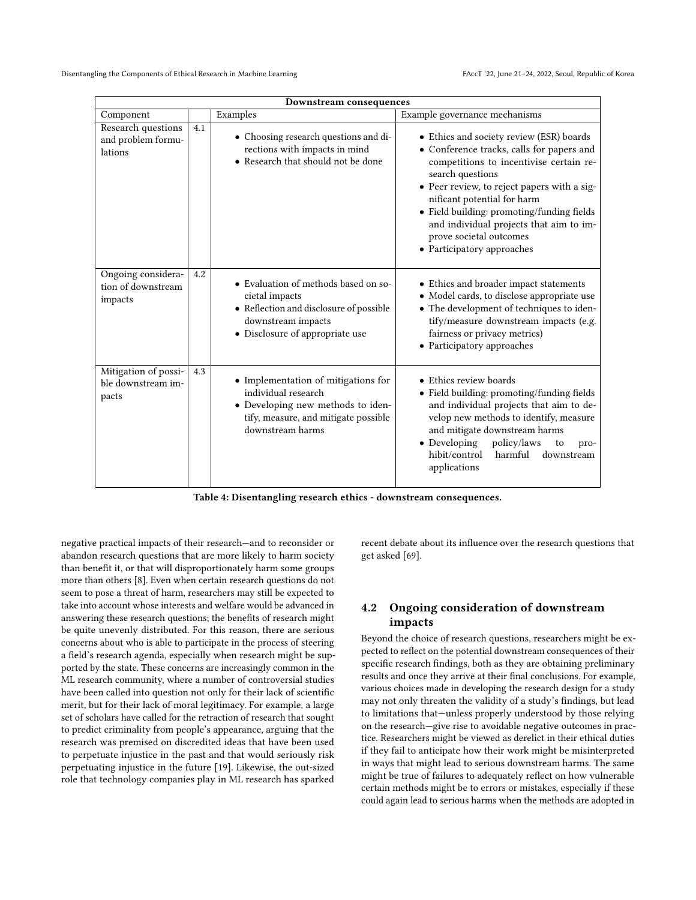<span id="page-6-1"></span>

| Downstream consequences                             |     |                                                                                                                                                             |                                                                                                                                                                                                                                                                                                                                                                                      |  |  |
|-----------------------------------------------------|-----|-------------------------------------------------------------------------------------------------------------------------------------------------------------|--------------------------------------------------------------------------------------------------------------------------------------------------------------------------------------------------------------------------------------------------------------------------------------------------------------------------------------------------------------------------------------|--|--|
| Component                                           |     | Examples                                                                                                                                                    | Example governance mechanisms                                                                                                                                                                                                                                                                                                                                                        |  |  |
| Research questions<br>and problem formu-<br>lations | 4.1 | • Choosing research questions and di-<br>rections with impacts in mind<br>• Research that should not be done                                                | • Ethics and society review (ESR) boards<br>• Conference tracks, calls for papers and<br>competitions to incentivise certain re-<br>search questions<br>• Peer review, to reject papers with a sig-<br>nificant potential for harm<br>• Field building: promoting/funding fields<br>and individual projects that aim to im-<br>prove societal outcomes<br>• Participatory approaches |  |  |
| Ongoing considera-<br>tion of downstream<br>impacts | 4.2 | • Evaluation of methods based on so-<br>cietal impacts<br>• Reflection and disclosure of possible<br>downstream impacts<br>• Disclosure of appropriate use  | • Ethics and broader impact statements<br>• Model cards, to disclose appropriate use<br>• The development of techniques to iden-<br>tify/measure downstream impacts (e.g.<br>fairness or privacy metrics)<br>• Participatory approaches                                                                                                                                              |  |  |
| Mitigation of possi-<br>ble downstream im-<br>pacts | 4.3 | • Implementation of mitigations for<br>individual research<br>• Developing new methods to iden-<br>tify, measure, and mitigate possible<br>downstream harms | • Ethics review boards<br>• Field building: promoting/funding fields<br>and individual projects that aim to de-<br>velop new methods to identify, measure<br>and mitigate downstream harms<br>• Developing<br>policy/laws<br>to<br>pro-<br>hibit/control<br>harmful<br>downstream<br>applications                                                                                    |  |  |

Table 4: Disentangling research ethics - downstream consequences.

negative practical impacts of their research—and to reconsider or abandon research questions that are more likely to harm society than benefit it, or that will disproportionately harm some groups more than others [\[8\]](#page-10-37). Even when certain research questions do not seem to pose a threat of harm, researchers may still be expected to take into account whose interests and welfare would be advanced in answering these research questions; the benefits of research might be quite unevenly distributed. For this reason, there are serious concerns about who is able to participate in the process of steering a field's research agenda, especially when research might be supported by the state. These concerns are increasingly common in the ML research community, where a number of controversial studies have been called into question not only for their lack of scientific merit, but for their lack of moral legitimacy. For example, a large set of scholars have called for the retraction of research that sought to predict criminality from people's appearance, arguing that the research was premised on discredited ideas that have been used to perpetuate injustice in the past and that would seriously risk perpetuating injustice in the future [\[19\]](#page-10-3). Likewise, the out-sized role that technology companies play in ML research has sparked

recent debate about its influence over the research questions that get asked [\[69\]](#page-11-21).

# <span id="page-6-0"></span>4.2 Ongoing consideration of downstream impacts

Beyond the choice of research questions, researchers might be expected to reflect on the potential downstream consequences of their specific research findings, both as they are obtaining preliminary results and once they arrive at their final conclusions. For example, various choices made in developing the research design for a study may not only threaten the validity of a study's findings, but lead to limitations that—unless properly understood by those relying on the research—give rise to avoidable negative outcomes in practice. Researchers might be viewed as derelict in their ethical duties if they fail to anticipate how their work might be misinterpreted in ways that might lead to serious downstream harms. The same might be true of failures to adequately reflect on how vulnerable certain methods might be to errors or mistakes, especially if these could again lead to serious harms when the methods are adopted in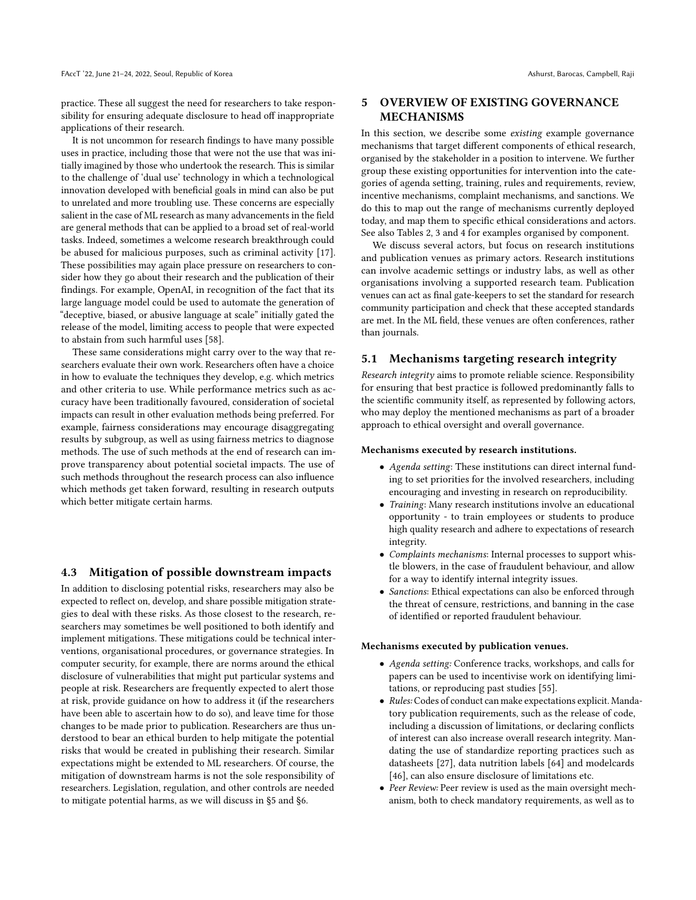practice. These all suggest the need for researchers to take responsibility for ensuring adequate disclosure to head off inappropriate applications of their research.

It is not uncommon for research findings to have many possible uses in practice, including those that were not the use that was initially imagined by those who undertook the research. This is similar to the challenge of 'dual use' technology in which a technological innovation developed with beneficial goals in mind can also be put to unrelated and more troubling use. These concerns are especially salient in the case of ML research as many advancements in the field are general methods that can be applied to a broad set of real-world tasks. Indeed, sometimes a welcome research breakthrough could be abused for malicious purposes, such as criminal activity [\[17\]](#page-10-38). These possibilities may again place pressure on researchers to consider how they go about their research and the publication of their findings. For example, OpenAI, in recognition of the fact that its large language model could be used to automate the generation of "deceptive, biased, or abusive language at scale" initially gated the release of the model, limiting access to people that were expected to abstain from such harmful uses [\[58\]](#page-11-22).

These same considerations might carry over to the way that researchers evaluate their own work. Researchers often have a choice in how to evaluate the techniques they develop, e.g. which metrics and other criteria to use. While performance metrics such as accuracy have been traditionally favoured, consideration of societal impacts can result in other evaluation methods being preferred. For example, fairness considerations may encourage disaggregating results by subgroup, as well as using fairness metrics to diagnose methods. The use of such methods at the end of research can improve transparency about potential societal impacts. The use of such methods throughout the research process can also influence which methods get taken forward, resulting in research outputs which better mitigate certain harms.

### <span id="page-7-1"></span>4.3 Mitigation of possible downstream impacts

In addition to disclosing potential risks, researchers may also be expected to reflect on, develop, and share possible mitigation strategies to deal with these risks. As those closest to the research, researchers may sometimes be well positioned to both identify and implement mitigations. These mitigations could be technical interventions, organisational procedures, or governance strategies. In computer security, for example, there are norms around the ethical disclosure of vulnerabilities that might put particular systems and people at risk. Researchers are frequently expected to alert those at risk, provide guidance on how to address it (if the researchers have been able to ascertain how to do so), and leave time for those changes to be made prior to publication. Researchers are thus understood to bear an ethical burden to help mitigate the potential risks that would be created in publishing their research. Similar expectations might be extended to ML researchers. Of course, the mitigation of downstream harms is not the sole responsibility of researchers. Legislation, regulation, and other controls are needed to mitigate potential harms, as we will discuss in [§5](#page-7-0) and [§6.](#page-9-0)

# <span id="page-7-0"></span>5 OVERVIEW OF EXISTING GOVERNANCE MECHANISMS

In this section, we describe some existing example governance mechanisms that target different components of ethical research, organised by the stakeholder in a position to intervene. We further group these existing opportunities for intervention into the categories of agenda setting, training, rules and requirements, review, incentive mechanisms, complaint mechanisms, and sanctions. We do this to map out the range of mechanisms currently deployed today, and map them to specific ethical considerations and actors. See also Tables [2,](#page-2-2) [3](#page-4-0) and [4](#page-6-1) for examples organised by component.

We discuss several actors, but focus on research institutions and publication venues as primary actors. Research institutions can involve academic settings or industry labs, as well as other organisations involving a supported research team. Publication venues can act as final gate-keepers to set the standard for research community participation and check that these accepted standards are met. In the ML field, these venues are often conferences, rather than journals.

#### 5.1 Mechanisms targeting research integrity

Research integrity aims to promote reliable science. Responsibility for ensuring that best practice is followed predominantly falls to the scientific community itself, as represented by following actors, who may deploy the mentioned mechanisms as part of a broader approach to ethical oversight and overall governance.

#### Mechanisms executed by research institutions.

- Agenda setting: These institutions can direct internal funding to set priorities for the involved researchers, including encouraging and investing in research on reproducibility.
- Training: Many research institutions involve an educational opportunity - to train employees or students to produce high quality research and adhere to expectations of research integrity.
- Complaints mechanisms: Internal processes to support whistle blowers, in the case of fraudulent behaviour, and allow for a way to identify internal integrity issues.
- Sanctions: Ethical expectations can also be enforced through the threat of censure, restrictions, and banning in the case of identified or reported fraudulent behaviour.

#### Mechanisms executed by publication venues.

- Agenda setting: Conference tracks, workshops, and calls for papers can be used to incentivise work on identifying limitations, or reproducing past studies [\[55\]](#page-11-23).
- Rules: Codes of conduct can make expectations explicit. Mandatory publication requirements, such as the release of code, including a discussion of limitations, or declaring conflicts of interest can also increase overall research integrity. Mandating the use of standardize reporting practices such as datasheets [\[27\]](#page-10-39), data nutrition labels [\[64\]](#page-11-24) and modelcards [\[46\]](#page-11-25), can also ensure disclosure of limitations etc.
- Peer Review: Peer review is used as the main oversight mechanism, both to check mandatory requirements, as well as to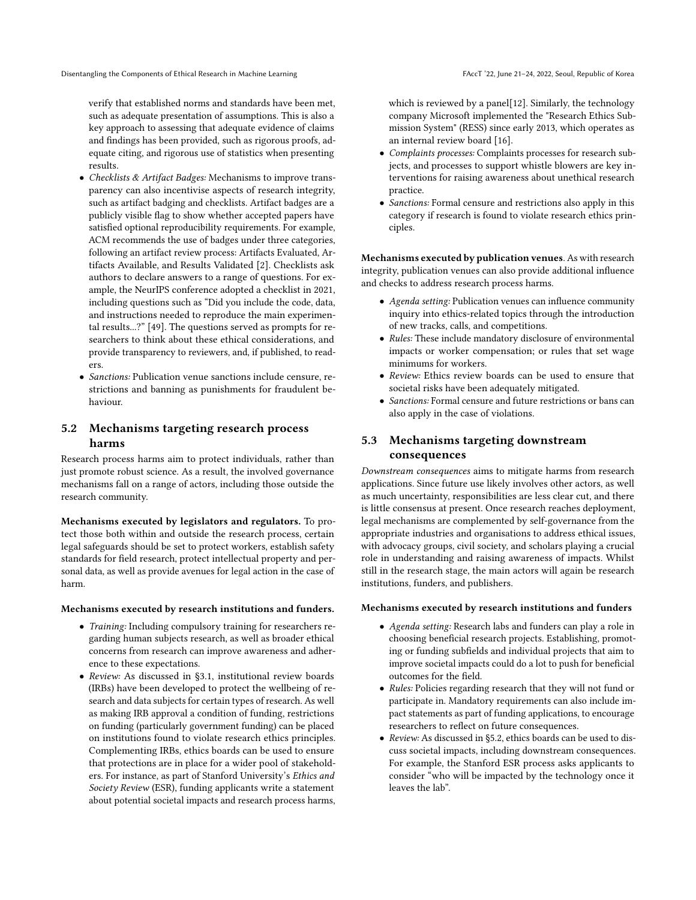verify that established norms and standards have been met, such as adequate presentation of assumptions. This is also a key approach to assessing that adequate evidence of claims and findings has been provided, such as rigorous proofs, adequate citing, and rigorous use of statistics when presenting results.

- Checklists & Artifact Badges: Mechanisms to improve transparency can also incentivise aspects of research integrity, such as artifact badging and checklists. Artifact badges are a publicly visible flag to show whether accepted papers have satisfied optional reproducibility requirements. For example, ACM recommends the use of badges under three categories, following an artifact review process: Artifacts Evaluated, Artifacts Available, and Results Validated [\[2\]](#page-10-40). Checklists ask authors to declare answers to a range of questions. For example, the NeurIPS conference adopted a checklist in 2021, including questions such as "Did you include the code, data, and instructions needed to reproduce the main experimental results...?" [\[49\]](#page-11-13). The questions served as prompts for researchers to think about these ethical considerations, and provide transparency to reviewers, and, if published, to readers.
- Sanctions: Publication venue sanctions include censure, restrictions and banning as punishments for fraudulent behaviour.

# <span id="page-8-0"></span>5.2 Mechanisms targeting research process harms

Research process harms aim to protect individuals, rather than just promote robust science. As a result, the involved governance mechanisms fall on a range of actors, including those outside the research community.

Mechanisms executed by legislators and regulators. To protect those both within and outside the research process, certain legal safeguards should be set to protect workers, establish safety standards for field research, protect intellectual property and personal data, as well as provide avenues for legal action in the case of harm.

#### Mechanisms executed by research institutions and funders.

- Training: Including compulsory training for researchers regarding human subjects research, as well as broader ethical concerns from research can improve awareness and adherence to these expectations.
- Review: As discussed in [§3.1,](#page-3-3) institutional review boards (IRBs) have been developed to protect the wellbeing of research and data subjects for certain types of research. As well as making IRB approval a condition of funding, restrictions on funding (particularly government funding) can be placed on institutions found to violate research ethics principles. Complementing IRBs, ethics boards can be used to ensure that protections are in place for a wider pool of stakeholders. For instance, as part of Stanford University's Ethics and Society Review (ESR), funding applicants write a statement about potential societal impacts and research process harms,

which is reviewed by a panel[\[12\]](#page-10-10). Similarly, the technology company Microsoft implemented the "Research Ethics Submission System" (RESS) since early 2013, which operates as an internal review board [\[16\]](#page-10-41).

- Complaints processes: Complaints processes for research subjects, and processes to support whistle blowers are key interventions for raising awareness about unethical research practice.
- Sanctions: Formal censure and restrictions also apply in this category if research is found to violate research ethics principles.

Mechanisms executed by publication venues. As with research integrity, publication venues can also provide additional influence and checks to address research process harms.

- Agenda setting: Publication venues can influence community inquiry into ethics-related topics through the introduction of new tracks, calls, and competitions.
- Rules: These include mandatory disclosure of environmental impacts or worker compensation; or rules that set wage minimums for workers.
- Review: Ethics review boards can be used to ensure that societal risks have been adequately mitigated.
- Sanctions: Formal censure and future restrictions or bans can also apply in the case of violations.

# 5.3 Mechanisms targeting downstream consequences

Downstream consequences aims to mitigate harms from research applications. Since future use likely involves other actors, as well as much uncertainty, responsibilities are less clear cut, and there is little consensus at present. Once research reaches deployment, legal mechanisms are complemented by self-governance from the appropriate industries and organisations to address ethical issues, with advocacy groups, civil society, and scholars playing a crucial role in understanding and raising awareness of impacts. Whilst still in the research stage, the main actors will again be research institutions, funders, and publishers.

#### Mechanisms executed by research institutions and funders

- Agenda setting: Research labs and funders can play a role in choosing beneficial research projects. Establishing, promoting or funding subfields and individual projects that aim to improve societal impacts could do a lot to push for beneficial outcomes for the field.
- Rules: Policies regarding research that they will not fund or participate in. Mandatory requirements can also include impact statements as part of funding applications, to encourage researchers to reflect on future consequences.
- Review: As discussed in [§5.2,](#page-8-0) ethics boards can be used to discuss societal impacts, including downstream consequences. For example, the Stanford ESR process asks applicants to consider "who will be impacted by the technology once it leaves the lab".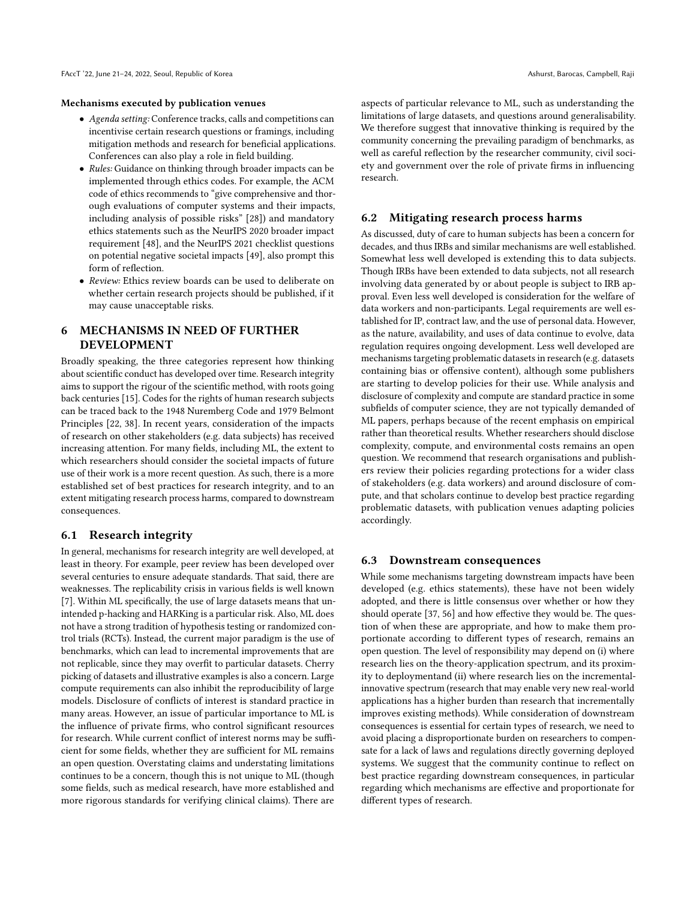#### Mechanisms executed by publication venues

- Agenda setting: Conference tracks, calls and competitions can incentivise certain research questions or framings, including mitigation methods and research for beneficial applications. Conferences can also play a role in field building.
- Rules: Guidance on thinking through broader impacts can be implemented through ethics codes. For example, the ACM code of ethics recommends to "give comprehensive and thorough evaluations of computer systems and their impacts, including analysis of possible risks" [\[28\]](#page-10-7)) and mandatory ethics statements such as the NeurIPS 2020 broader impact requirement [\[48\]](#page-11-4), and the NeurIPS 2021 checklist questions on potential negative societal impacts [\[49\]](#page-11-13), also prompt this form of reflection.
- Review: Ethics review boards can be used to deliberate on whether certain research projects should be published, if it may cause unacceptable risks.

# <span id="page-9-0"></span>6 MECHANISMS IN NEED OF FURTHER DEVELOPMENT

Broadly speaking, the three categories represent how thinking about scientific conduct has developed over time. Research integrity aims to support the rigour of the scientific method, with roots going back centuries [\[15\]](#page-10-42). Codes for the rights of human research subjects can be traced back to the 1948 Nuremberg Code and 1979 Belmont Principles [\[22,](#page-10-20) [38\]](#page-10-21). In recent years, consideration of the impacts of research on other stakeholders (e.g. data subjects) has received increasing attention. For many fields, including ML, the extent to which researchers should consider the societal impacts of future use of their work is a more recent question. As such, there is a more established set of best practices for research integrity, and to an extent mitigating research process harms, compared to downstream consequences.

#### 6.1 Research integrity

In general, mechanisms for research integrity are well developed, at least in theory. For example, peer review has been developed over several centuries to ensure adequate standards. That said, there are weaknesses. The replicability crisis in various fields is well known [\[7\]](#page-10-43). Within ML specifically, the use of large datasets means that unintended p-hacking and HARKing is a particular risk. Also, ML does not have a strong tradition of hypothesis testing or randomized control trials (RCTs). Instead, the current major paradigm is the use of benchmarks, which can lead to incremental improvements that are not replicable, since they may overfit to particular datasets. Cherry picking of datasets and illustrative examples is also a concern. Large compute requirements can also inhibit the reproducibility of large models. Disclosure of conflicts of interest is standard practice in many areas. However, an issue of particular importance to ML is the influence of private firms, who control significant resources for research. While current conflict of interest norms may be sufficient for some fields, whether they are sufficient for ML remains an open question. Overstating claims and understating limitations continues to be a concern, though this is not unique to ML (though some fields, such as medical research, have more established and more rigorous standards for verifying clinical claims). There are

aspects of particular relevance to ML, such as understanding the limitations of large datasets, and questions around generalisability. We therefore suggest that innovative thinking is required by the community concerning the prevailing paradigm of benchmarks, as well as careful reflection by the researcher community, civil society and government over the role of private firms in influencing research.

#### 6.2 Mitigating research process harms

As discussed, duty of care to human subjects has been a concern for decades, and thus IRBs and similar mechanisms are well established. Somewhat less well developed is extending this to data subjects. Though IRBs have been extended to data subjects, not all research involving data generated by or about people is subject to IRB approval. Even less well developed is consideration for the welfare of data workers and non-participants. Legal requirements are well established for IP, contract law, and the use of personal data. However, as the nature, availability, and uses of data continue to evolve, data regulation requires ongoing development. Less well developed are mechanisms targeting problematic datasets in research (e.g. datasets containing bias or offensive content), although some publishers are starting to develop policies for their use. While analysis and disclosure of complexity and compute are standard practice in some subfields of computer science, they are not typically demanded of ML papers, perhaps because of the recent emphasis on empirical rather than theoretical results. Whether researchers should disclose complexity, compute, and environmental costs remains an open question. We recommend that research organisations and publishers review their policies regarding protections for a wider class of stakeholders (e.g. data workers) and around disclosure of compute, and that scholars continue to develop best practice regarding problematic datasets, with publication venues adapting policies accordingly.

### <span id="page-9-1"></span>6.3 Downstream consequences

While some mechanisms targeting downstream impacts have been developed (e.g. ethics statements), these have not been widely adopted, and there is little consensus over whether or how they should operate [\[37,](#page-10-44) [56\]](#page-11-5) and how effective they would be. The question of when these are appropriate, and how to make them proportionate according to different types of research, remains an open question. The level of responsibility may depend on (i) where research lies on the theory-application spectrum, and its proximity to deploymentand (ii) where research lies on the incrementalinnovative spectrum (research that may enable very new real-world applications has a higher burden than research that incrementally improves existing methods). While consideration of downstream consequences is essential for certain types of research, we need to avoid placing a disproportionate burden on researchers to compensate for a lack of laws and regulations directly governing deployed systems. We suggest that the community continue to reflect on best practice regarding downstream consequences, in particular regarding which mechanisms are effective and proportionate for different types of research.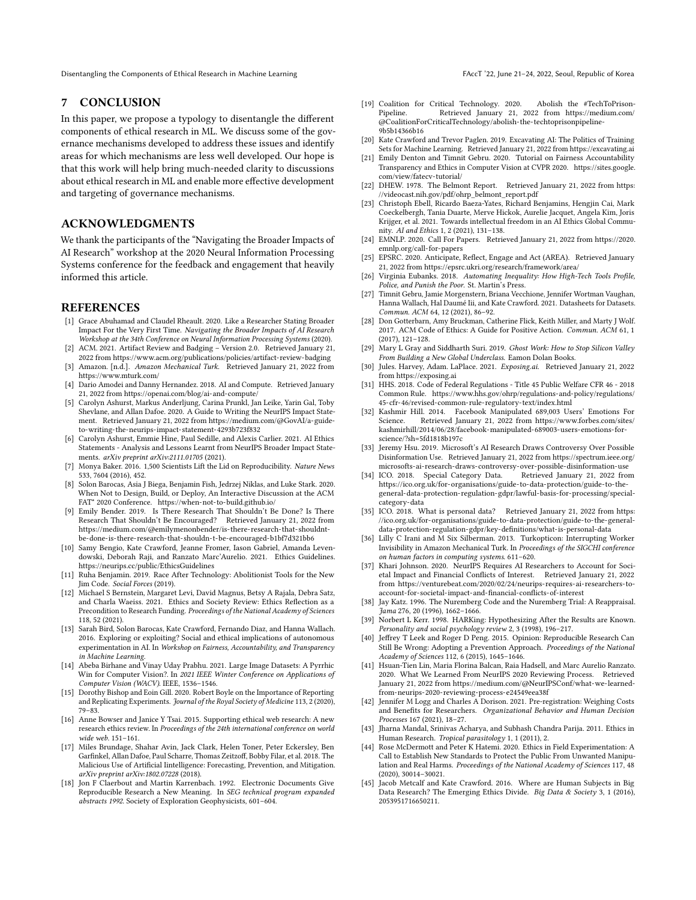Disentangling the Components of Ethical Research in Machine Learning FACCT '22, June 21-24, 2022, Seoul, Republic of Korea

#### 7 CONCLUSION

In this paper, we propose a typology to disentangle the different components of ethical research in ML. We discuss some of the governance mechanisms developed to address these issues and identify areas for which mechanisms are less well developed. Our hope is that this work will help bring much-needed clarity to discussions about ethical research in ML and enable more effective development and targeting of governance mechanisms.

# ACKNOWLEDGMENTS

We thank the participants of the "Navigating the Broader Impacts of AI Research" workshop at the 2020 Neural Information Processing Systems conference for the feedback and engagement that heavily informed this article.

### REFERENCES

- <span id="page-10-12"></span>[1] Grace Abuhamad and Claudel Rheault. 2020. Like a Researcher Stating Broader Impact For the Very First Time. Navigating the Broader Impacts of AI Research Workshop at the 34th Conference on Neural Information Processing Systems (2020).
- <span id="page-10-40"></span>[2] ACM. 2021. Artifact Review and Badging – Version 2.0. Retrieved January 21, 2022 from<https://www.acm.org/publications/policies/artifact-review-badging>
- <span id="page-10-25"></span>[3] Amazon. [n.d.]. Amazon Mechanical Turk. Retrieved January 21, 2022 from <https://www.mturk.com/>
- <span id="page-10-32"></span>[4] Dario Amodei and Danny Hernandez. 2018. AI and Compute. Retrieved January 21, 2022 from<https://openai.com/blog/ai-and-compute/>
- <span id="page-10-18"></span>[5] Carolyn Ashurst, Markus Anderljung, Carina Prunkl, Jan Leike, Yarin Gal, Toby Shevlane, and Allan Dafoe. 2020. A Guide to Writing the NeurIPS Impact Statement. Retrieved January 21, 2022 from [https://medium.com/@GovAI/a-guide](https://medium.com/@GovAI/a-guide-to-writing-the-neurips-impact-statement-4293b723f832)[to-writing-the-neurips-impact-statement-4293b723f832](https://medium.com/@GovAI/a-guide-to-writing-the-neurips-impact-statement-4293b723f832)
- <span id="page-10-11"></span>[6] Carolyn Ashurst, Emmie Hine, Paul Sedille, and Alexis Carlier. 2021. AI Ethics Statements - Analysis and Lessons Learnt from NeurIPS Broader Impact Statements. arXiv preprint arXiv:2111.01705 (2021).
- <span id="page-10-43"></span>[7] Monya Baker. 2016. 1,500 Scientists Lift the Lid on Reproducibility. Nature News 533, 7604 (2016), 452.
- <span id="page-10-37"></span>[8] Solon Barocas, Asia J Biega, Benjamin Fish, Jedrzej Niklas, and Luke Stark. 2020. When Not to Design, Build, or Deploy, An Interactive Discussion at the ACM FAT\* 2020 Conference.<https://when-not-to-build.github.io/>
- <span id="page-10-2"></span>[9] Emily Bender. 2019. Is There Research That Shouldn't Be Done? Is There Research That Shouldn't Be Encouraged? Retrieved January 21, 2022 from [https://medium.com/@emilymenonbender/is-there-research-that-shouldnt](https://medium.com/@emilymenonbender/is-there-research-that-shouldnt-be-done-is-there-research-that-shouldn-t-be-encouraged-b1bf7d321bb6)[be-done-is-there-research-that-shouldn-t-be-encouraged-b1bf7d321bb6](https://medium.com/@emilymenonbender/is-there-research-that-shouldnt-be-done-is-there-research-that-shouldn-t-be-encouraged-b1bf7d321bb6)
- <span id="page-10-19"></span>[10] Samy Bengio, Kate Crawford, Jeanne Fromer, Iason Gabriel, Amanda Levendowski, Deborah Raji, and Ranzato Marc'Aurelio. 2021. Ethics Guidelines. <https://neurips.cc/public/EthicsGuidelines>
- <span id="page-10-0"></span>[11] Ruha Benjamin. 2019. Race After Technology: Abolitionist Tools for the New Jim Code. Social Forces (2019).
- <span id="page-10-10"></span>[12] Michael S Bernstein, Margaret Levi, David Magnus, Betsy A Rajala, Debra Satz, and Charla Waeiss. 2021. Ethics and Society Review: Ethics Reflection as a Precondition to Research Funding. Proceedings of the National Academy of Sciences 118, 52 (2021).
- <span id="page-10-31"></span>[13] Sarah Bird, Solon Barocas, Kate Crawford, Fernando Diaz, and Hanna Wallach. 2016. Exploring or exploiting? Social and ethical implications of autonomous experimentation in AI. In Workshop on Fairness, Accountability, and Transparency in Machine Learning.
- <span id="page-10-28"></span>[14] Abeba Birhane and Vinay Uday Prabhu. 2021. Large Image Datasets: A Pyrrhic Win for Computer Vision?. In 2021 IEEE Winter Conference on Applications of Computer Vision (WACV). IEEE, 1536–1546.
- <span id="page-10-42"></span>[15] Dorothy Bishop and Eoin Gill. 2020. Robert Boyle on the Importance of Reporting and Replicating Experiments. Journal of the Royal Society of Medicine 113, 2 (2020), 79–83.
- <span id="page-10-41"></span>[16] Anne Bowser and Janice Y Tsai. 2015. Supporting ethical web research: A new research ethics review. In Proceedings of the 24th international conference on world wide web. 151–161.
- <span id="page-10-38"></span>[17] Miles Brundage, Shahar Avin, Jack Clark, Helen Toner, Peter Eckersley, Ben Garfinkel, Allan Dafoe, Paul Scharre, Thomas Zeitzoff, Bobby Filar, et al. 2018. The Malicious Use of Artificial Iintelligence: Forecasting, Prevention, and Mitigation. arXiv preprint arXiv:1802.07228 (2018).
- <span id="page-10-17"></span>[18] Jon F Claerbout and Martin Karrenbach. 1992. Electronic Documents Give Reproducible Research a New Meaning. In SEG technical program expanded abstracts 1992. Society of Exploration Geophysicists, 601–604.
- <span id="page-10-3"></span>[19] Coalition for Critical Technology. 2020. Abolish the #TechToPrison-Pipeline. Retrieved January 21, 2022 from [https://medium.com/](https://medium.com/@CoalitionForCriticalTechnology/abolish-the-techtoprisonpipeline-9b5b14366b16) [@CoalitionForCriticalTechnology/abolish-the-techtoprisonpipeline-](https://medium.com/@CoalitionForCriticalTechnology/abolish-the-techtoprisonpipeline-9b5b14366b16)[9b5b14366b16](https://medium.com/@CoalitionForCriticalTechnology/abolish-the-techtoprisonpipeline-9b5b14366b16)
- <span id="page-10-29"></span>[20] Kate Crawford and Trevor Paglen. 2019. Excavating AI: The Politics of Training Sets for Machine Learning. Retrieved January 21, 2022 from<https://excavating.ai>
- <span id="page-10-4"></span>[21] Emily Denton and Timnit Gebru. 2020. Tutorial on Fairness Accountability Transparency and Ethics in Computer Vision at CVPR 2020. [https://sites.google.](https://sites.google.com/view/fatecv-tutorial/) [com/view/fatecv-tutorial/](https://sites.google.com/view/fatecv-tutorial/)
- <span id="page-10-20"></span>[22] DHEW. 1978. The Belmont Report. Retrieved January 21, 2022 from [https:](https://videocast.nih.gov/pdf/ohrp_belmont_report.pdf) [//videocast.nih.gov/pdf/ohrp\\_belmont\\_report.pdf](https://videocast.nih.gov/pdf/ohrp_belmont_report.pdf)
- <span id="page-10-15"></span>[23] Christoph Ebell, Ricardo Baeza-Yates, Richard Benjamins, Hengjin Cai, Mark Coeckelbergh, Tania Duarte, Merve Hickok, Aurelie Jacquet, Angela Kim, Joris Krijger, et al. 2021. Towards intellectual freedom in an AI Ethics Global Community. AI and Ethics 1, 2 (2021), 131–138.
- <span id="page-10-8"></span>[24] EMNLP. 2020. Call For Papers. Retrieved January 21, 2022 from [https://2020.](https://2020.emnlp.org/call-for-papers) [emnlp.org/call-for-papers](https://2020.emnlp.org/call-for-papers)
- <span id="page-10-36"></span>[25] EPSRC. 2020. Anticipate, Reflect, Engage and Act (AREA). Retrieved January 21, 2022 from<https://epsrc.ukri.org/research/framework/area/>
- <span id="page-10-1"></span>[26] Virginia Eubanks. 2018. Automating Inequality: How High-Tech Tools Profile, Police, and Punish the Poor. St. Martin's Press.
- <span id="page-10-39"></span>[27] Timnit Gebru, Jamie Morgenstern, Briana Vecchione, Jennifer Wortman Vaughan, Hanna Wallach, Hal Daumé Iii, and Kate Crawford. 2021. Datasheets for Datasets. Commun. ACM 64, 12 (2021), 86–92.
- <span id="page-10-7"></span>[28] Don Gotterbarn, Amy Bruckman, Catherine Flick, Keith Miller, and Marty J Wolf. 2017. ACM Code of Ethics: A Guide for Positive Action. Commun. ACM 61, 1 (2017), 121–128.
- <span id="page-10-26"></span>[29] Mary L Gray and Siddharth Suri. 2019. Ghost Work: How to Stop Silicon Valley From Building a New Global Underclass. Eamon Dolan Books.
- <span id="page-10-35"></span>[30] Jules. Harvey, Adam. LaPlace. 2021. Exposing.ai. Retrieved January 21, 2022 from<https://exposing.ai>
- <span id="page-10-23"></span>[31] HHS. 2018. Code of Federal Regulations - Title 45 Public Welfare CFR 46 - 2018 Common Rule. [https://www.hhs.gov/ohrp/regulations-and-policy/regulations/](https://www.hhs.gov/ohrp/regulations-and-policy/regulations/45-cfr-46/revised-common-rule-regulatory-text/index.html) [45-cfr-46/revised-common-rule-regulatory-text/index.html](https://www.hhs.gov/ohrp/regulations-and-policy/regulations/45-cfr-46/revised-common-rule-regulatory-text/index.html)
- <span id="page-10-5"></span>[32] Kashmir Hill. 2014. Facebook Manipulated 689,003 Users' Emotions For Science. Retrieved January 21, 2022 from [https://www.forbes.com/sites/](https://www.forbes.com/sites/kashmirhill/2014/06/28/facebook-manipulated-689003-users-emotions-for-science/?sh=5fd1818b197c) [kashmirhill/2014/06/28/facebook-manipulated-689003-users-emotions-for](https://www.forbes.com/sites/kashmirhill/2014/06/28/facebook-manipulated-689003-users-emotions-for-science/?sh=5fd1818b197c)[science/?sh=5fd1818b197c](https://www.forbes.com/sites/kashmirhill/2014/06/28/facebook-manipulated-689003-users-emotions-for-science/?sh=5fd1818b197c)
- <span id="page-10-6"></span>[33] Jeremy Hsu. 2019. Microsoft's AI Research Draws Controversy Over Possible Disinformation Use. Retrieved January 21, 2022 from [https://spectrum.ieee.org/](https://spectrum.ieee.org/microsofts-ai-research-draws-controversy-over-possible-disinformation-use) [microsofts-ai-research-draws-controversy-over-possible-disinformation-use](https://spectrum.ieee.org/microsofts-ai-research-draws-controversy-over-possible-disinformation-use)
- <span id="page-10-34"></span>[34] ICO. 2018. Special Category Data. Retrieved January 21, 2022 from [https://ico.org.uk/for-organisations/guide-to-data-protection/guide-to-the](https://ico.org.uk/for-organisations/guide-to-data-protection/guide-to-the-general-data-protection-regulation-gdpr/lawful-basis-for-processing/special-category-data)[general-data-protection-regulation-gdpr/lawful-basis-for-processing/special](https://ico.org.uk/for-organisations/guide-to-data-protection/guide-to-the-general-data-protection-regulation-gdpr/lawful-basis-for-processing/special-category-data)[category-data](https://ico.org.uk/for-organisations/guide-to-data-protection/guide-to-the-general-data-protection-regulation-gdpr/lawful-basis-for-processing/special-category-data)
- <span id="page-10-33"></span>[35] ICO. 2018. What is personal data? Retrieved January 21, 2022 from [https:](https://ico.org.uk/for-organisations/guide-to-data-protection/guide-to-the-general-data-protection-regulation-gdpr/key-definitions/what-is-personal-data) [//ico.org.uk/for-organisations/guide-to-data-protection/guide-to-the-general](https://ico.org.uk/for-organisations/guide-to-data-protection/guide-to-the-general-data-protection-regulation-gdpr/key-definitions/what-is-personal-data)[data-protection-regulation-gdpr/key-definitions/what-is-personal-data](https://ico.org.uk/for-organisations/guide-to-data-protection/guide-to-the-general-data-protection-regulation-gdpr/key-definitions/what-is-personal-data)
- <span id="page-10-27"></span>[36] Lilly C Irani and M Six Silberman. 2013. Turkopticon: Interrupting Worker Invisibility in Amazon Mechanical Turk. In Proceedings of the SIGCHI conference on human factors in computing systems. 611–620.
- <span id="page-10-44"></span>[37] Khari Johnson. 2020. NeurIPS Requires AI Researchers to Account for Societal Impact and Financial Conflicts of Interest. Retrieved January 21, 2022 from [https://venturebeat.com/2020/02/24/neurips-requires-ai-researchers-to](https://venturebeat.com/2020/02/24/neurips-requires-ai-researchers-to-account-for-societal-impact-and-financial-conflicts-of-interest)[account-for-societal-impact-and-financial-conflicts-of-interest](https://venturebeat.com/2020/02/24/neurips-requires-ai-researchers-to-account-for-societal-impact-and-financial-conflicts-of-interest)
- <span id="page-10-21"></span>[38] Jay Katz. 1996. The Nuremberg Code and the Nuremberg Trial: A Reappraisal. Jama 276, 20 (1996), 1662–1666.
- <span id="page-10-14"></span>[39] Norbert L Kerr. 1998. HARKing: Hypothesizing After the Results are Known. Personality and social psychology review 2, 3 (1998), 196–217.
- <span id="page-10-16"></span>[40] Jeffrey T Leek and Roger D Peng. 2015. Opinion: Reproducible Research Can Still Be Wrong: Adopting a Prevention Approach. Proceedings of the National Academy of Sciences 112, 6 (2015), 1645–1646.
- <span id="page-10-9"></span>[41] Hsuan-Tien Lin, Maria Florina Balcan, Raia Hadsell, and Marc Aurelio Ranzato. 2020. What We Learned From NeurIPS 2020 Reviewing Process. Retrieved January 21, 2022 from [https://medium.com/@NeurIPSConf/what-we-learned](https://medium.com/@NeurIPSConf/what-we-learned-from-neurips-2020-reviewing-process-e24549eea38f)[from-neurips-2020-reviewing-process-e24549eea38f](https://medium.com/@NeurIPSConf/what-we-learned-from-neurips-2020-reviewing-process-e24549eea38f)
- <span id="page-10-13"></span>[42] Jennifer M Logg and Charles A Dorison. 2021. Pre-registration: Weighing Costs and Benefits for Researchers. Organizational Behavior and Human Decision Processes 167 (2021), 18–27.
- <span id="page-10-22"></span>[43] Jharna Mandal, Srinivas Acharya, and Subhash Chandra Parija. 2011. Ethics in Human Research. Tropical parasitology 1, 1 (2011), 2.
- <span id="page-10-30"></span>[44] Rose McDermott and Peter K Hatemi. 2020. Ethics in Field Experimentation: A Call to Establish New Standards to Protect the Public From Unwanted Manipulation and Real Harms. Proceedings of the National Academy of Sciences 117, 48 (2020), 30014–30021.
- <span id="page-10-24"></span>[45] Jacob Metcalf and Kate Crawford. 2016. Where are Human Subjects in Big Data Research? The Emerging Ethics Divide. Big Data & Society 3, 1 (2016), 2053951716650211.